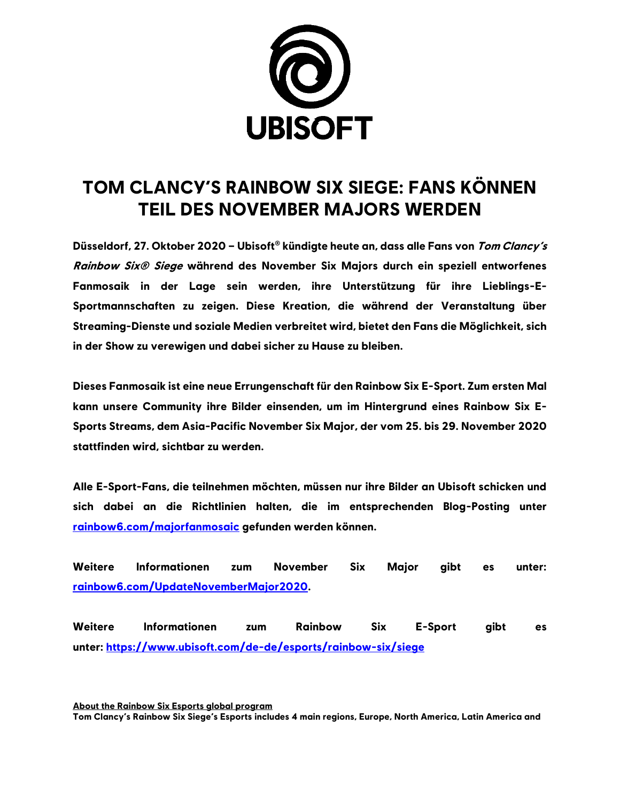

## **TOM CLANCY'S RAINBOW SIX SIEGE: FANS KÖNNEN TEIL DES NOVEMBER MAJORS WERDEN**

**Düsseldorf, 27. Oktober 2020 – Ubisoft® kündigte heute an, dass alle Fans von Tom Clancy's Rainbow Six® Siege während des November Six Majors durch ein speziell entworfenes Fanmosaik in der Lage sein werden, ihre Unterstützung für ihre Lieblings-E-Sportmannschaften zu zeigen. Diese Kreation, die während der Veranstaltung über Streaming-Dienste und soziale Medien verbreitet wird, bietet den Fans die Möglichkeit, sich in der Show zu verewigen und dabei sicher zu Hause zu bleiben.**

**Dieses Fanmosaik ist eine neue Errungenschaft für den Rainbow Six E-Sport. Zum ersten Mal kann unsere Community ihre Bilder einsenden, um im Hintergrund eines Rainbow Six E-Sports Streams, dem Asia-Pacific November Six Major, der vom 25. bis 29. November 2020 stattfinden wird, sichtbar zu werden.**

**Alle E-Sport-Fans, die teilnehmen möchten, müssen nur ihre Bilder an Ubisoft schicken und sich dabei an die Richtlinien halten, die im entsprechenden Blog-Posting unter [rainbow6.com/majorfanmosaic](http://rainbow6.com/majorfanmosaic) gefunden werden können.** 

**Weitere Informationen zum November Six Major gibt es unter: [rainbow6.com/UpdateNovemberMajor2020.](http://rainbow6.com/UpdateNovemberMajor2020)**

**Weitere Informationen zum Rainbow Six E-Sport gibt es unter: <https://www.ubisoft.com/de-de/esports/rainbow-six/siege>**

**About the Rainbow Six Esports global program**

**Tom Clancy's Rainbow Six Siege's Esports includes 4 main regions, Europe, North America, Latin America and**